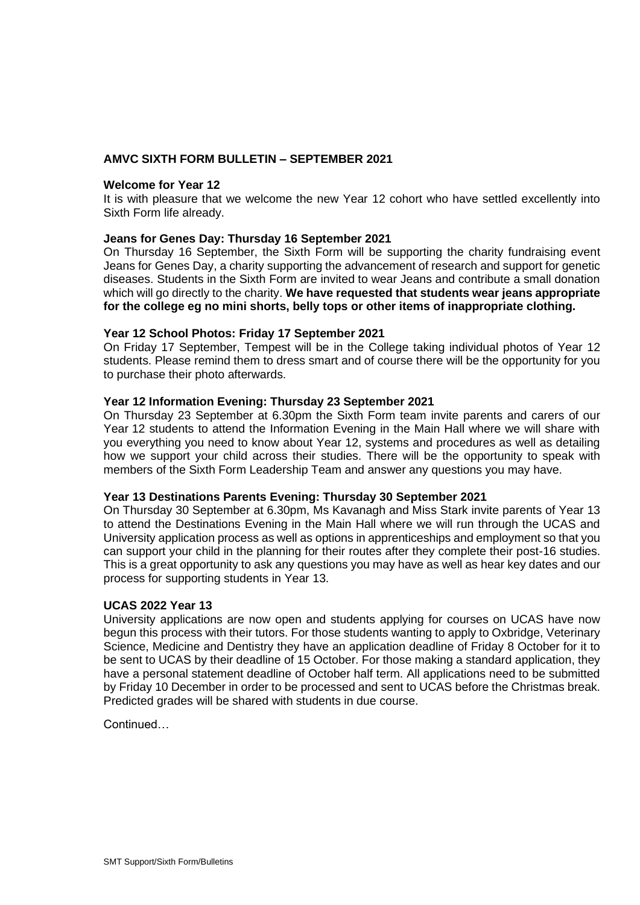# **AMVC SIXTH FORM BULLETIN – SEPTEMBER 2021**

## **Welcome for Year 12**

It is with pleasure that we welcome the new Year 12 cohort who have settled excellently into Sixth Form life already.

## **Jeans for Genes Day: Thursday 16 September 2021**

On Thursday 16 September, the Sixth Form will be supporting the charity fundraising event Jeans for Genes Day, a charity supporting the advancement of research and support for genetic diseases. Students in the Sixth Form are invited to wear Jeans and contribute a small donation which will go directly to the charity. **We have requested that students wear jeans appropriate for the college eg no mini shorts, belly tops or other items of inappropriate clothing.** 

### **Year 12 School Photos: Friday 17 September 2021**

On Friday 17 September, Tempest will be in the College taking individual photos of Year 12 students. Please remind them to dress smart and of course there will be the opportunity for you to purchase their photo afterwards.

### **Year 12 Information Evening: Thursday 23 September 2021**

On Thursday 23 September at 6.30pm the Sixth Form team invite parents and carers of our Year 12 students to attend the Information Evening in the Main Hall where we will share with you everything you need to know about Year 12, systems and procedures as well as detailing how we support your child across their studies. There will be the opportunity to speak with members of the Sixth Form Leadership Team and answer any questions you may have.

#### **Year 13 Destinations Parents Evening: Thursday 30 September 2021**

On Thursday 30 September at 6.30pm, Ms Kavanagh and Miss Stark invite parents of Year 13 to attend the Destinations Evening in the Main Hall where we will run through the UCAS and University application process as well as options in apprenticeships and employment so that you can support your child in the planning for their routes after they complete their post-16 studies. This is a great opportunity to ask any questions you may have as well as hear key dates and our process for supporting students in Year 13.

# **UCAS 2022 Year 13**

University applications are now open and students applying for courses on UCAS have now begun this process with their tutors. For those students wanting to apply to Oxbridge, Veterinary Science, Medicine and Dentistry they have an application deadline of Friday 8 October for it to be sent to UCAS by their deadline of 15 October. For those making a standard application, they have a personal statement deadline of October half term. All applications need to be submitted by Friday 10 December in order to be processed and sent to UCAS before the Christmas break. Predicted grades will be shared with students in due course.

Continued…